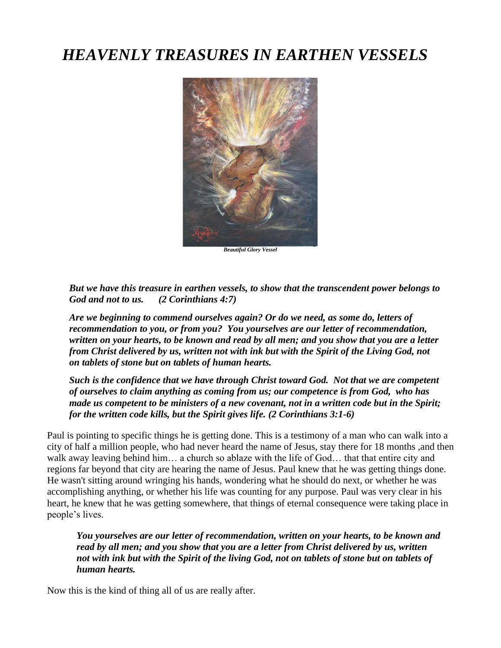# *HEAVENLY TREASURES IN EARTHEN VESSELS*



*Beautiful Glory Vessel*

*But we have this treasure in earthen vessels, to show that the transcendent power belongs to God and not to us. (2 Corinthians 4:7)*

*Are we beginning to commend ourselves again? Or do we need, as some do, letters of recommendation to you, or from you? You yourselves are our letter of recommendation, written on your hearts, to be known and read by all men; and you show that you are a letter from Christ delivered by us, written not with ink but with the Spirit of the Living God, not on tablets of stone but on tablets of human hearts.*

*Such is the confidence that we have through Christ toward God. Not that we are competent of ourselves to claim anything as coming from us; our competence is from God, who has made us competent to be ministers of a new covenant, not in a written code but in the Spirit; for the written code kills, but the Spirit gives life. (2 Corinthians 3:1-6)*

Paul is pointing to specific things he is getting done. This is a testimony of a man who can walk into a city of half a million people, who had never heard the name of Jesus, stay there for 18 months ,and then walk away leaving behind him… a church so ablaze with the life of God… that that entire city and regions far beyond that city are hearing the name of Jesus. Paul knew that he was getting things done. He wasn't sitting around wringing his hands, wondering what he should do next, or whether he was accomplishing anything, or whether his life was counting for any purpose. Paul was very clear in his heart, he knew that he was getting somewhere, that things of eternal consequence were taking place in people's lives.

*You yourselves are our letter of recommendation, written on your hearts, to be known and read by all men; and you show that you are a letter from Christ delivered by us, written not with ink but with the Spirit of the living God, not on tablets of stone but on tablets of human hearts.*

Now this is the kind of thing all of us are really after.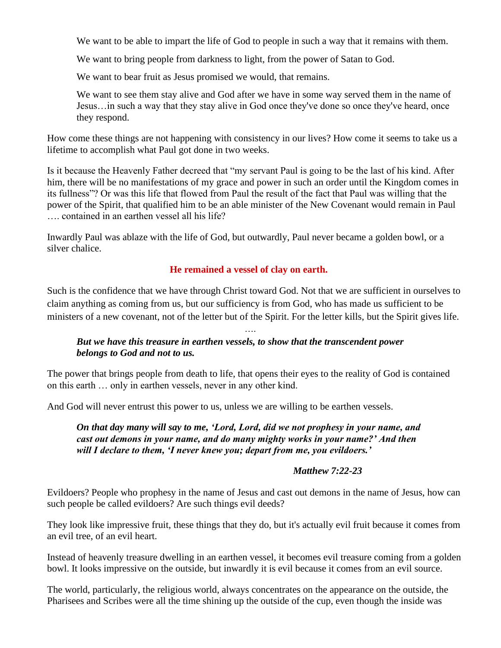We want to be able to impart the life of God to people in such a way that it remains with them.

We want to bring people from darkness to light, from the power of Satan to God.

We want to bear fruit as Jesus promised we would, that remains.

We want to see them stay alive and God after we have in some way served them in the name of Jesus…in such a way that they stay alive in God once they've done so once they've heard, once they respond.

How come these things are not happening with consistency in our lives? How come it seems to take us a lifetime to accomplish what Paul got done in two weeks.

Is it because the Heavenly Father decreed that "my servant Paul is going to be the last of his kind. After him, there will be no manifestations of my grace and power in such an order until the Kingdom comes in its fullness"? Or was this life that flowed from Paul the result of the fact that Paul was willing that the power of the Spirit, that qualified him to be an able minister of the New Covenant would remain in Paul …. contained in an earthen vessel all his life?

Inwardly Paul was ablaze with the life of God, but outwardly, Paul never became a golden bowl, or a silver chalice.

### **He remained a vessel of clay on earth.**

Such is the confidence that we have through Christ toward God. Not that we are sufficient in ourselves to claim anything as coming from us, but our sufficiency is from God, who has made us sufficient to be ministers of a new covenant, not of the letter but of the Spirit. For the letter kills, but the Spirit gives life.

….

# *But we have this treasure in earthen vessels, to show that the transcendent power belongs to God and not to us.*

The power that brings people from death to life, that opens their eyes to the reality of God is contained on this earth … only in earthen vessels, never in any other kind.

And God will never entrust this power to us, unless we are willing to be earthen vessels.

*On that day many will say to me, 'Lord, Lord, did we not prophesy in your name, and cast out demons in your name, and do many mighty works in your name?' And then will I declare to them, 'I never knew you; depart from me, you evildoers.'*

#### *Matthew 7:22-23*

Evildoers? People who prophesy in the name of Jesus and cast out demons in the name of Jesus, how can such people be called evildoers? Are such things evil deeds?

They look like impressive fruit, these things that they do, but it's actually evil fruit because it comes from an evil tree, of an evil heart.

Instead of heavenly treasure dwelling in an earthen vessel, it becomes evil treasure coming from a golden bowl. It looks impressive on the outside, but inwardly it is evil because it comes from an evil source.

The world, particularly, the religious world, always concentrates on the appearance on the outside, the Pharisees and Scribes were all the time shining up the outside of the cup, even though the inside was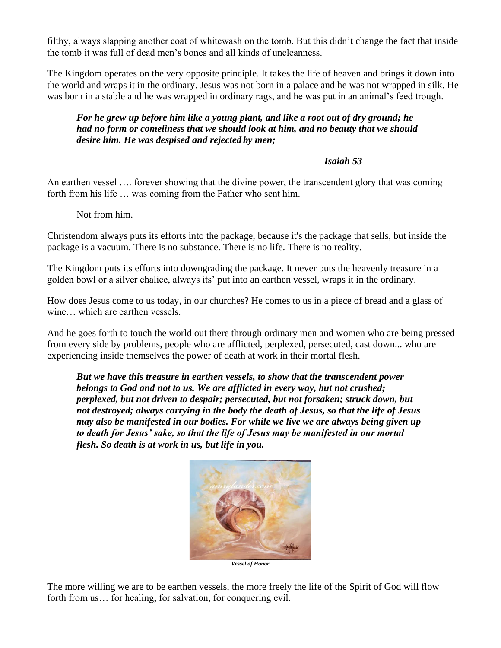filthy, always slapping another coat of whitewash on the tomb. But this didn't change the fact that inside the tomb it was full of dead men's bones and all kinds of uncleanness.

The Kingdom operates on the very opposite principle. It takes the life of heaven and brings it down into the world and wraps it in the ordinary. Jesus was not born in a palace and he was not wrapped in silk. He was born in a stable and he was wrapped in ordinary rags, and he was put in an animal's feed trough.

#### *For he grew up before him like a young plant, and like a root out of dry ground; he had no form or comeliness that we should look at him, and no beauty that we should desire him. He was despised and rejected by men;*

#### *Isaiah 53*

An earthen vessel …. forever showing that the divine power, the transcendent glory that was coming forth from his life … was coming from the Father who sent him.

Not from him.

Christendom always puts its efforts into the package, because it's the package that sells, but inside the package is a vacuum. There is no substance. There is no life. There is no reality.

The Kingdom puts its efforts into downgrading the package. It never puts the heavenly treasure in a golden bowl or a silver chalice, always its' put into an earthen vessel, wraps it in the ordinary.

How does Jesus come to us today, in our churches? He comes to us in a piece of bread and a glass of wine… which are earthen vessels.

And he goes forth to touch the world out there through ordinary men and women who are being pressed from every side by problems, people who are afflicted, perplexed, persecuted, cast down... who are experiencing inside themselves the power of death at work in their mortal flesh.

*But we have this treasure in earthen vessels, to show that the transcendent power belongs to God and not to us. We are afflicted in every way, but not crushed; perplexed, but not driven to despair; persecuted, but not forsaken; struck down, but not destroyed; always carrying in the body the death of Jesus, so that the life of Jesus may also be manifested in our bodies. For while we live we are always being given up to death for Jesus' sake, so that the life of Jesus may be manifested in our mortal flesh. So death is at work in us, but life in you.*



The more willing we are to be earthen vessels, the more freely the life of the Spirit of God will flow forth from us... for healing, for salvation, for conquering evil.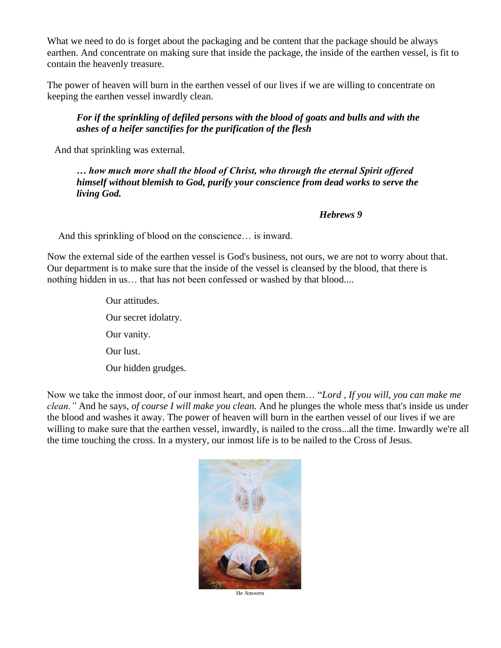What we need to do is forget about the packaging and be content that the package should be always earthen. And concentrate on making sure that inside the package, the inside of the earthen vessel, is fit to contain the heavenly treasure.

The power of heaven will burn in the earthen vessel of our lives if we are willing to concentrate on keeping the earthen vessel inwardly clean.

### *For if the sprinkling of defiled persons with the blood of goats and bulls and with the ashes of a heifer sanctifies for the purification of the flesh*

And that sprinkling was external.

*… how much more shall the blood of Christ, who through the eternal Spirit offered himself without blemish to God, purify your conscience from dead works to serve the living God.*

#### *Hebrews 9*

And this sprinkling of blood on the conscience… is inward.

Now the external side of the earthen vessel is God's business, not ours, we are not to worry about that. Our department is to make sure that the inside of the vessel is cleansed by the blood, that there is nothing hidden in us… that has not been confessed or washed by that blood....

> Our attitudes. Our secret idolatry. Our vanity. Our lust. Our hidden grudges.

Now we take the inmost door, of our inmost heart, and open them… "*Lord , If you will, you can make me clean."* And he says, *of course I will make you clean.* And he plunges the whole mess that's inside us under the blood and washes it away. The power of heaven will burn in the earthen vessel of our lives if we are willing to make sure that the earthen vessel, inwardly, is nailed to the cross...all the time. Inwardly we're all the time touching the cross. In a mystery, our inmost life is to be nailed to the Cross of Jesus.



He Answers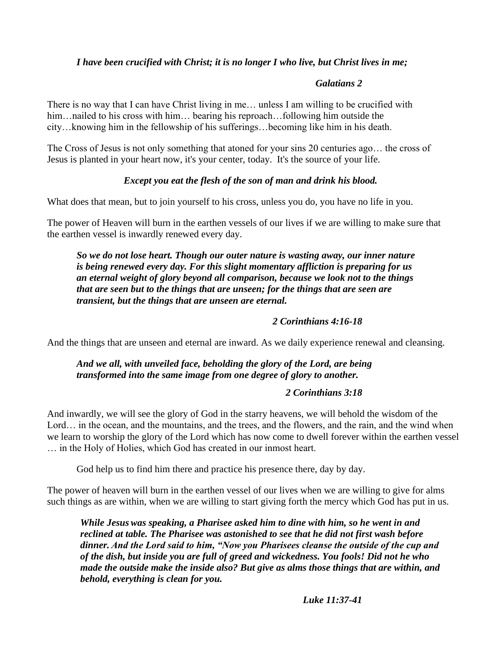## *I have been crucified with Christ; it is no longer I who live, but Christ lives in me;*

#### *Galatians 2*

There is no way that I can have Christ living in me… unless I am willing to be crucified with him... nailed to his cross with him... bearing his reproach... following him outside the city…knowing him in the fellowship of his sufferings…becoming like him in his death.

The Cross of Jesus is not only something that atoned for your sins 20 centuries ago… the cross of Jesus is planted in your heart now, it's your center, today. It's the source of your life.

### *Except you eat the flesh of the son of man and drink his blood.*

What does that mean, but to join yourself to his cross, unless you do, you have no life in you.

The power of Heaven will burn in the earthen vessels of our lives if we are willing to make sure that the earthen vessel is inwardly renewed every day.

*So we do not lose heart. Though our outer nature is wasting away, our inner nature is being renewed every day. For this slight momentary affliction is preparing for us an eternal weight of glory beyond all comparison, because we look not to the things that are seen but to the things that are unseen; for the things that are seen are transient, but the things that are unseen are eternal.*

### *2 Corinthians 4:16-18*

And the things that are unseen and eternal are inward. As we daily experience renewal and cleansing.

# *And we all, with unveiled face, beholding the glory of the Lord, are being transformed into the same image from one degree of glory to another.*

### *2 Corinthians 3:18*

And inwardly, we will see the glory of God in the starry heavens, we will behold the wisdom of the Lord… in the ocean, and the mountains, and the trees, and the flowers, and the rain, and the wind when we learn to worship the glory of the Lord which has now come to dwell forever within the earthen vessel … in the Holy of Holies, which God has created in our inmost heart.

God help us to find him there and practice his presence there, day by day.

The power of heaven will burn in the earthen vessel of our lives when we are willing to give for alms such things as are within, when we are willing to start giving forth the mercy which God has put in us.

*While Jesus was speaking, a Pharisee asked him to dine with him, so he went in and reclined at table. The Pharisee was astonished to see that he did not first wash before dinner. And the Lord said to him, "Now you Pharisees cleanse the outside of the cup and of the dish, but inside you are full of greed and wickedness. You fools! Did not he who made the outside make the inside also? But give as alms those things that are within, and behold, everything is clean for you.*

*Luke 11:37-41*